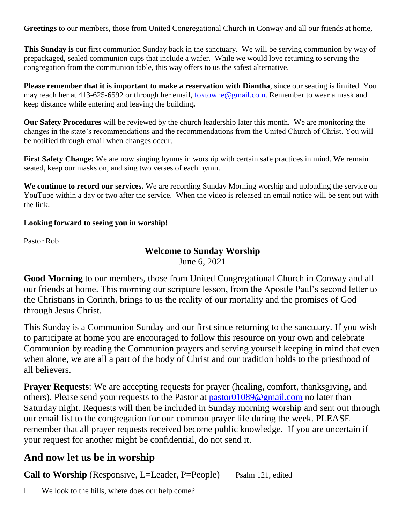**Greetings** to our members, those from United Congregational Church in Conway and all our friends at home,

**This Sunday is** our first communion Sunday back in the sanctuary. We will be serving communion by way of prepackaged, sealed communion cups that include a wafer. While we would love returning to serving the congregation from the communion table, this way offers to us the safest alternative.

**Please remember that it is important to make a reservation with Diantha**, since our seating is limited. You may reach her at 413-625-6592 or through her email, [foxtowne@gmail.com.](mailto:foxtowne@gmail.com) Remember to wear a mask and keep distance while entering and leaving the building**.**

**Our Safety Procedures** will be reviewed by the church leadership later this month. We are monitoring the changes in the state's recommendations and the recommendations from the United Church of Christ. You will be notified through email when changes occur.

**First Safety Change:** We are now singing hymns in worship with certain safe practices in mind. We remain seated, keep our masks on, and sing two verses of each hymn.

**We continue to record our services.** We are recording Sunday Morning worship and uploading the service on YouTube within a day or two after the service. When the video is released an email notice will be sent out with the link.

#### **Looking forward to seeing you in worship!**

Pastor Rob

# **Welcome to Sunday Worship**

June 6, 2021

**Good Morning** to our members, those from United Congregational Church in Conway and all our friends at home. This morning our scripture lesson, from the Apostle Paul's second letter to the Christians in Corinth, brings to us the reality of our mortality and the promises of God through Jesus Christ.

This Sunday is a Communion Sunday and our first since returning to the sanctuary. If you wish to participate at home you are encouraged to follow this resource on your own and celebrate Communion by reading the Communion prayers and serving yourself keeping in mind that even when alone, we are all a part of the body of Christ and our tradition holds to the priesthood of all believers.

**Prayer Requests**: We are accepting requests for prayer (healing, comfort, thanksgiving, and others). Please send your requests to the Pastor at [pastor01089@gmail.com](mailto:pastor01089@gmail.com) no later than Saturday night. Requests will then be included in Sunday morning worship and sent out through our email list to the congregation for our common prayer life during the week. PLEASE remember that all prayer requests received become public knowledge. If you are uncertain if your request for another might be confidential, do not send it.

## **And now let us be in worship**

**Call to Worship** (Responsive, L=Leader, P=People) Psalm 121, edited

L We look to the hills, where does our help come?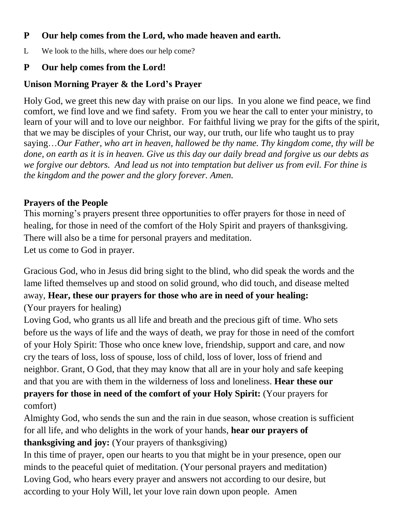## **P Our help comes from the Lord, who made heaven and earth.**

L We look to the hills, where does our help come?

# **P Our help comes from the Lord!**

## **Unison Morning Prayer & the Lord's Prayer**

Holy God, we greet this new day with praise on our lips. In you alone we find peace, we find comfort, we find love and we find safety. From you we hear the call to enter your ministry, to learn of your will and to love our neighbor. For faithful living we pray for the gifts of the spirit, that we may be disciples of your Christ, our way, our truth, our life who taught us to pray saying…*Our Father, who art in heaven, hallowed be thy name. Thy kingdom come, thy will be done, on earth as it is in heaven. Give us this day our daily bread and forgive us our debts as we forgive our debtors. And lead us not into temptation but deliver us from evil. For thine is the kingdom and the power and the glory forever. Amen.*

# **Prayers of the People**

This morning's prayers present three opportunities to offer prayers for those in need of healing, for those in need of the comfort of the Holy Spirit and prayers of thanksgiving. There will also be a time for personal prayers and meditation. Let us come to God in prayer.

Gracious God, who in Jesus did bring sight to the blind, who did speak the words and the lame lifted themselves up and stood on solid ground, who did touch, and disease melted away, **Hear, these our prayers for those who are in need of your healing:** (Your prayers for healing)

Loving God, who grants us all life and breath and the precious gift of time. Who sets before us the ways of life and the ways of death, we pray for those in need of the comfort of your Holy Spirit: Those who once knew love, friendship, support and care, and now cry the tears of loss, loss of spouse, loss of child, loss of lover, loss of friend and neighbor. Grant, O God, that they may know that all are in your holy and safe keeping and that you are with them in the wilderness of loss and loneliness. **Hear these our prayers for those in need of the comfort of your Holy Spirit:** (Your prayers for comfort)

Almighty God, who sends the sun and the rain in due season, whose creation is sufficient for all life, and who delights in the work of your hands, **hear our prayers of thanksgiving and joy:** (Your prayers of thanksgiving)

In this time of prayer, open our hearts to you that might be in your presence, open our minds to the peaceful quiet of meditation. (Your personal prayers and meditation) Loving God, who hears every prayer and answers not according to our desire, but according to your Holy Will, let your love rain down upon people. Amen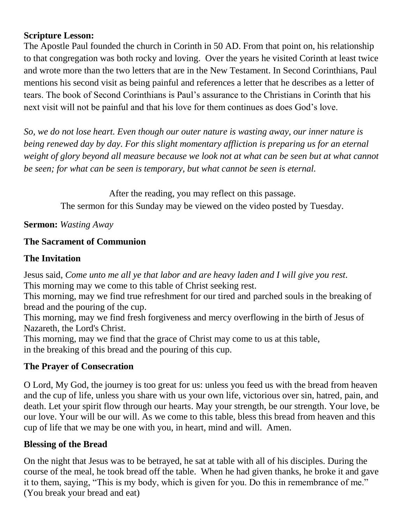#### **Scripture Lesson:**

The Apostle Paul founded the church in Corinth in 50 AD. From that point on, his relationship to that congregation was both rocky and loving. Over the years he visited Corinth at least twice and wrote more than the two letters that are in the New Testament. In Second Corinthians, Paul mentions his second visit as being painful and references a letter that he describes as a letter of tears. The book of Second Corinthians is Paul's assurance to the Christians in Corinth that his next visit will not be painful and that his love for them continues as does God's love.

*So, we do not lose heart. Even though our outer nature is wasting away, our inner nature is being renewed day by day. For this slight momentary affliction is preparing us for an eternal weight of glory beyond all measure because we look not at what can be seen but at what cannot be seen; for what can be seen is temporary, but what cannot be seen is eternal.* 

After the reading, you may reflect on this passage.

The sermon for this Sunday may be viewed on the video posted by Tuesday.

**Sermon:** *Wasting Away*

## **The Sacrament of Communion**

## **The Invitation**

Jesus said, *Come unto me all ye that labor and are heavy laden and I will give you rest.* This morning may we come to this table of Christ seeking rest.

This morning, may we find true refreshment for our tired and parched souls in the breaking of bread and the pouring of the cup.

This morning, may we find fresh forgiveness and mercy overflowing in the birth of Jesus of Nazareth, the Lord's Christ.

This morning, may we find that the grace of Christ may come to us at this table, in the breaking of this bread and the pouring of this cup.

#### **The Prayer of Consecration**

O Lord, My God, the journey is too great for us: unless you feed us with the bread from heaven and the cup of life, unless you share with us your own life, victorious over sin, hatred, pain, and death. Let your spirit flow through our hearts. May your strength, be our strength. Your love, be our love. Your will be our will. As we come to this table, bless this bread from heaven and this cup of life that we may be one with you, in heart, mind and will. Amen.

## **Blessing of the Bread**

On the night that Jesus was to be betrayed, he sat at table with all of his disciples. During the course of the meal, he took bread off the table. When he had given thanks, he broke it and gave it to them, saying, "This is my body, which is given for you. Do this in remembrance of me." (You break your bread and eat)